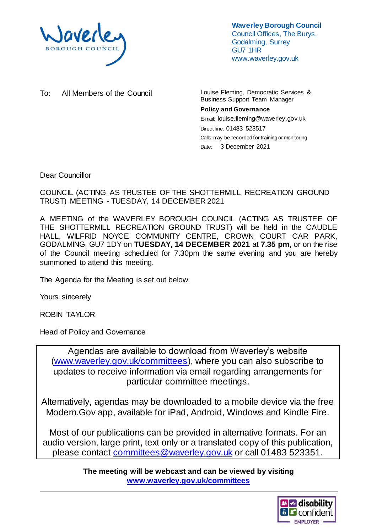

**Waverley Borough Council** Council Offices, The Burys, Godalming, Surrey GU7 1HR www.waverley.gov.uk

To: All Members of the Council Louise Fleming, Democratic Services &

Business Support Team Manager

#### **Policy and Governance** E-mail: louise.fleming@waverley.gov.uk

Direct line: 01483 523517 Calls may be recorded for training or monitoring Date: 3 December 2021

Dear Councillor

COUNCIL (ACTING AS TRUSTEE OF THE SHOTTERMILL RECREATION GROUND TRUST) MEETING - TUESDAY, 14 DECEMBER 2021

A MEETING of the WAVERLEY BOROUGH COUNCIL (ACTING AS TRUSTEE OF THE SHOTTERMILL RECREATION GROUND TRUST) will be held in the CAUDLE HALL, WILFRID NOYCE COMMUNITY CENTRE, CROWN COURT CAR PARK, GODALMING, GU7 1DY on **TUESDAY, 14 DECEMBER 2021** at **7.35 pm,** or on the rise of the Council meeting scheduled for 7.30pm the same evening and you are hereby summoned to attend this meeting.

The Agenda for the Meeting is set out below.

Yours sincerely

ROBIN TAYLOR

Head of Policy and Governance

Agendas are available to download from Waverley's website [\(www.waverley.gov.uk/committees\)](http://www.waverley.gov.uk/committees), where you can also subscribe to updates to receive information via email regarding arrangements for particular committee meetings.

Alternatively, agendas may be downloaded to a mobile device via the free Modern.Gov app, available for iPad, Android, Windows and Kindle Fire.

Most of our publications can be provided in alternative formats. For an audio version, large print, text only or a translated copy of this publication, please contact [committees@waverley.gov.uk](mailto:committees@waverley.gov.uk) or call 01483 523351.

> **The meeting will be webcast and can be viewed by visiting [www.waverley.gov.uk/committees](http://www.waverley.gov.uk/committees)**